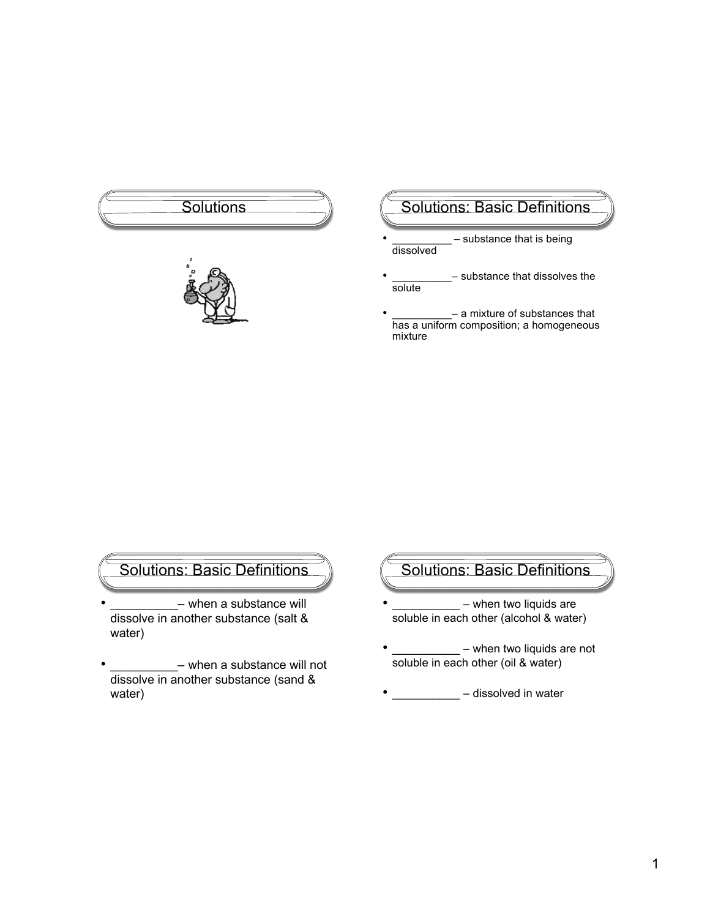



### Solutions (Solutions: Basic Definitions

- substance that is being dissolved
- substance that dissolves the solute
- \_\_\_\_\_\_\_\_\_\_\_\_\_ a mixture of substances that has a uniform composition; a homogeneous mixture

Solutions: Basic Definitions

- when a substance will dissolve in another substance (salt & water)
- when a substance will not dissolve in another substance (sand & water)

# Solutions: Basic Definitions

- when two liquids are soluble in each other (alcohol & water)
- – when two liquids are not soluble in each other (oil & water)
- \_\_\_\_\_\_\_\_\_\_\_\_ dissolved in water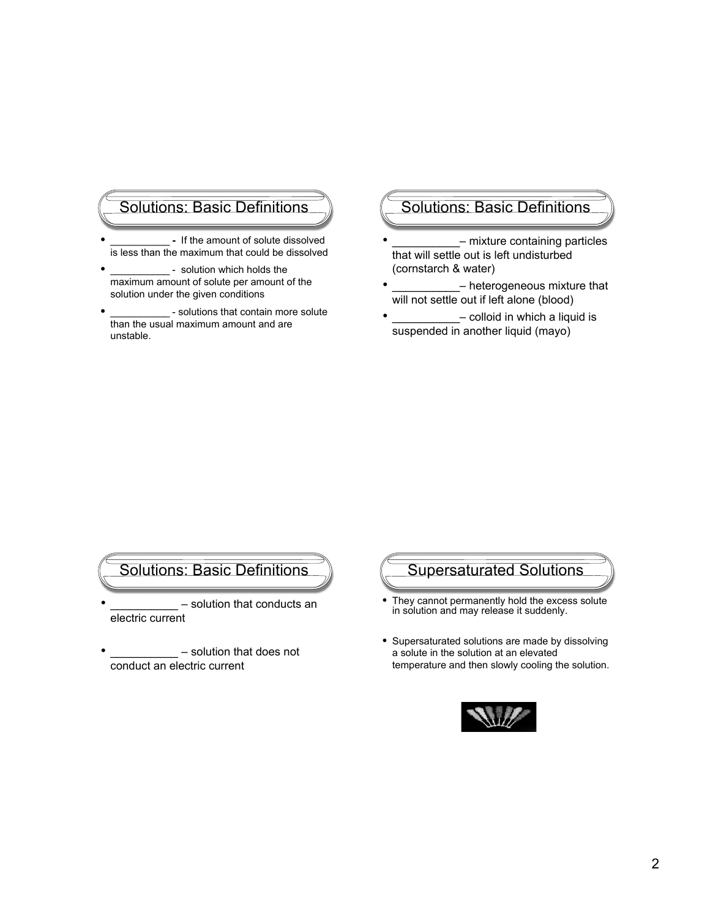### Solutions: Basic Definitions

- If the amount of solute dissolved is less than the maximum that could be dissolved
- solution which holds the maximum amount of solute per amount of the solution under the given conditions
- solutions that contain more solute than the usual maximum amount and are unstable.

# Solutions: Basic Definitions

- mixture containing particles that will settle out is left undisturbed (cornstarch & water)
- heterogeneous mixture that will not settle out if left alone (blood)
- colloid in which a liquid is suspended in another liquid (mayo)

- solution that conducts an electric current
- solution that does not conduct an electric current

# Solutions: Basic Definitions (Supersaturated Solutions

- They cannot permanently hold the excess solute in solution and may release it suddenly.
- Supersaturated solutions are made by dissolving a solute in the solution at an elevated temperature and then slowly cooling the solution.

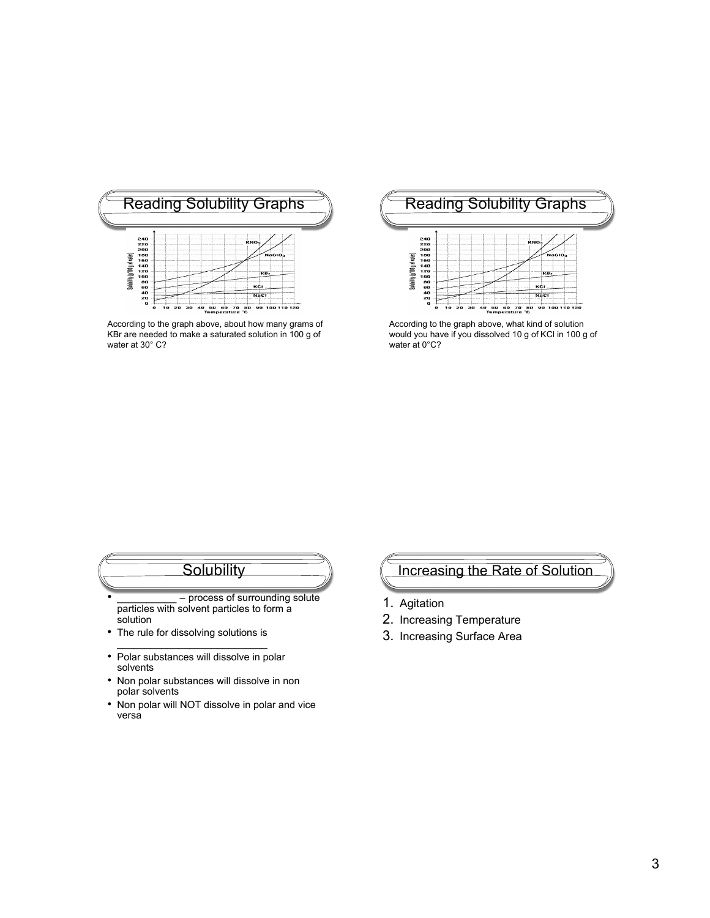

According to the graph above, about how many grams of KBr are needed to make a saturated solution in 100 g of water at 30° C?



According to the graph above, what kind of solution would you have if you dissolved 10 g of KCl in 100 g of water at 0°C?

# **Solubility**

- process of surrounding solute particles with solvent particles to form a solution
- The rule for dissolving solutions is \_\_\_\_\_\_\_\_\_\_\_\_\_\_\_\_\_\_\_\_\_\_\_\_\_\_\_
- Polar substances will dissolve in polar solvents
- Non polar substances will dissolve in non polar solvents
- Non polar will NOT dissolve in polar and vice versa

### Increasing the Rate of Solution

- 1. Agitation
- 2. Increasing Temperature
- 3. Increasing Surface Area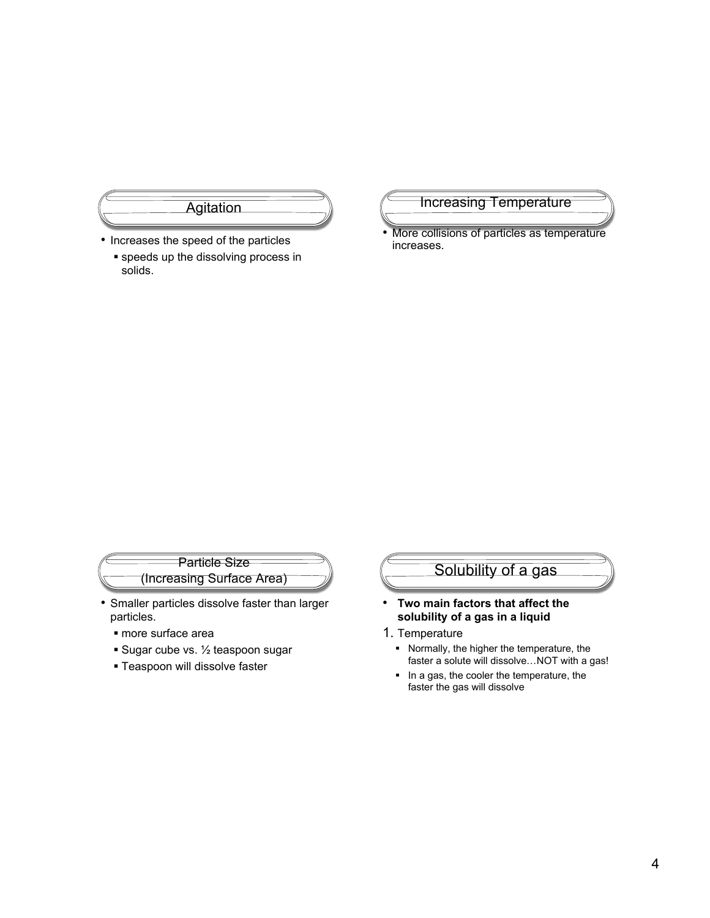

- Increases the speed of the particles
	- **speeds up the dissolving process in** solids.

#### Increasing Temperature

• More collisions of particles as temperature increases.

#### Particle Size (Increasing Surface Area)

- Smaller particles dissolve faster than larger particles.
	- more surface area
	- **Sugar cube vs. 1/2 teaspoon sugar**
	- **Teaspoon will dissolve faster**

# Solubility of a gas

- **Two main factors that affect the solubility of a gas in a liquid**
- 1. Temperature
	- Normally, the higher the temperature, the faster a solute will dissolve…NOT with a gas!
	- In a gas, the cooler the temperature, the faster the gas will dissolve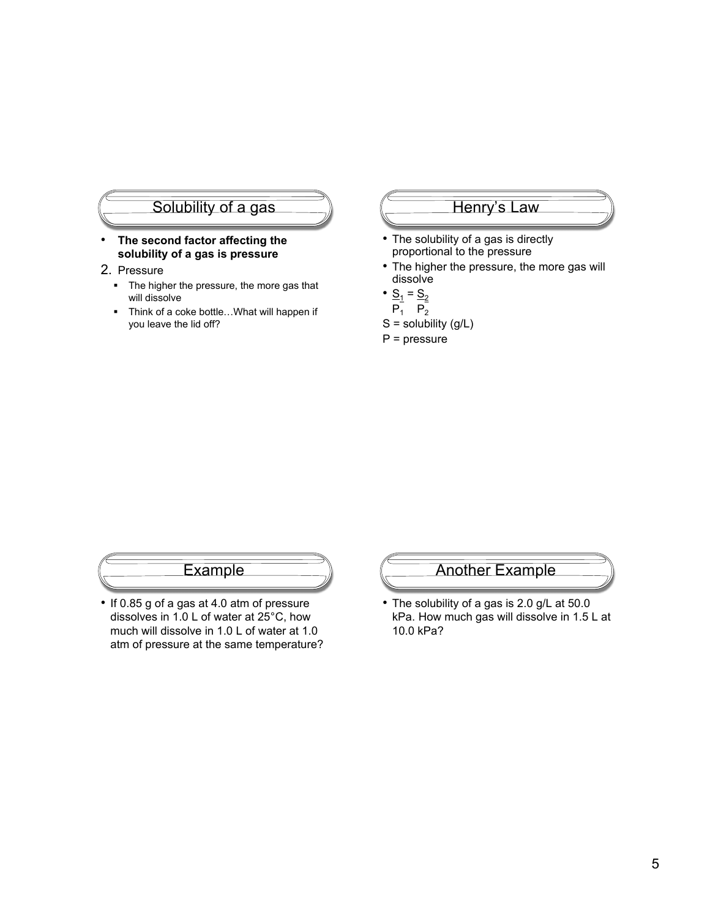# Solubility of a gas

- **The second factor affecting the solubility of a gas is pressure**
- 2. Pressure
	- The higher the pressure, the more gas that will dissolve
	- Think of a coke bottle... What will happen if you leave the lid off?

#### Henry's Law

- The solubility of a gas is directly proportional to the pressure
- The higher the pressure, the more gas will dissolve
- $S_1 = S_2$
- $P_1^ P_2^-$
- $S =$  solubility  $(g/L)$
- P = pressure

### Example

• If 0.85 g of a gas at 4.0 atm of pressure dissolves in 1.0 L of water at 25°C, how much will dissolve in 1.0 L of water at 1.0 atm of pressure at the same temperature?



• The solubility of a gas is 2.0 g/L at 50.0 kPa. How much gas will dissolve in 1.5 L at 10.0 kPa?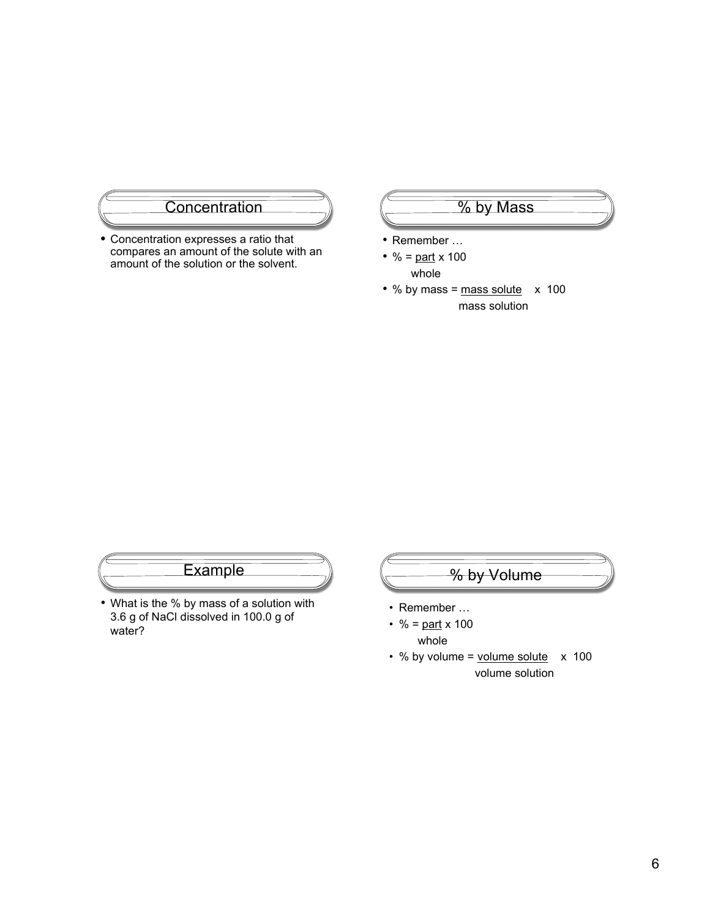

• Concentration expresses a ratio that compares an amount of the solute with an amount of the solution or the solvent.

# $\overline{\frac{9}{6}}$  by Mass

- Remember …
- % =  $part \times 100$ whole
- % by mass =  $mass$  solute  $\times$  100 mass solution

# **Example**

• What is the % by mass of a solution with 3.6 g of NaCl dissolved in 100.0 g of water?



- Remember …
- % =  $part \times 100$ whole
- $\cdot$  % by volume = volume solute  $\times$  100 volume solution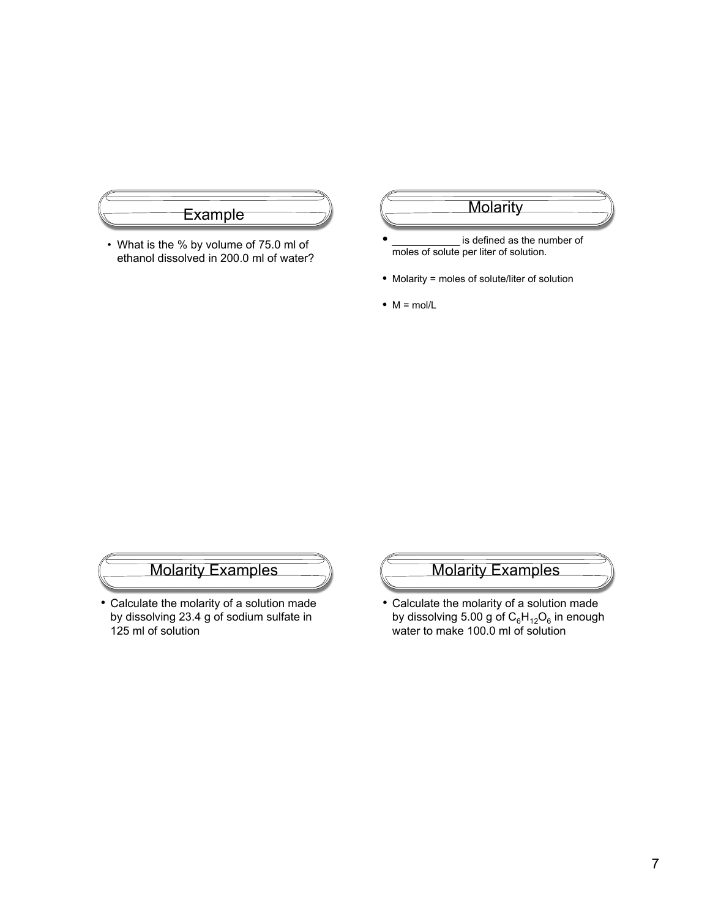

• What is the % by volume of 75.0 ml of ethanol dissolved in 200.0 ml of water?

#### **Molarity**

- is defined as the number of moles of solute per liter of solution.
- Molarity = moles of solute/liter of solution
- $\bullet$  M = mol/L

# Molarity Examples

• Calculate the molarity of a solution made by dissolving 23.4 g of sodium sulfate in 125 ml of solution

# Molarity Examples

• Calculate the molarity of a solution made by dissolving 5.00 g of  $\mathsf{C_6H_{12}O_6}$  in enough water to make 100.0 ml of solution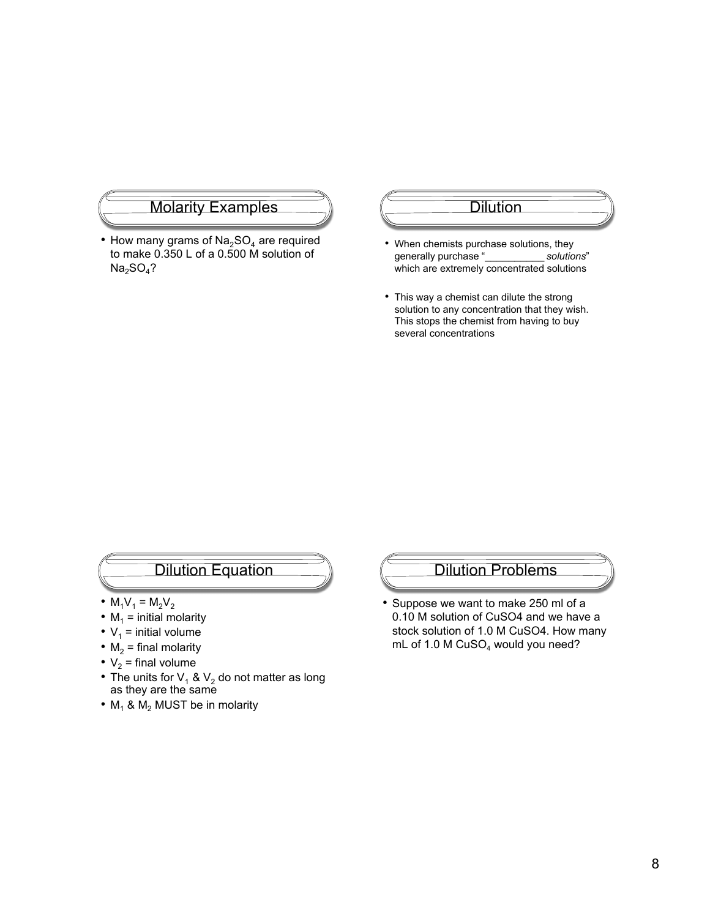#### Molarity Examples

• How many grams of  $Na<sub>2</sub>SO<sub>4</sub>$  are required to make 0.350 L of a 0.500 M solution of  $Na<sub>2</sub>SO<sub>4</sub>$ ?

#### Dilution

- When chemists purchase solutions, they generally purchase "\_\_\_\_\_\_\_\_\_\_ *solutions*" which are extremely concentrated solutions
- This way a chemist can dilute the strong solution to any concentration that they wish. This stops the chemist from having to buy several concentrations

### Dilution Equation

- $M_1V_1 = M_2V_2$
- $M_1$  = initial molarity
- $V_1$  = initial volume
- $M_2$  = final molarity
- $V_2$  = final volume
- The units for  $V_1$  &  $V_2$  do not matter as long as they are the same
- $M_1$  &  $M_2$  MUST be in molarity

#### Dilution Problems

• Suppose we want to make 250 ml of a 0.10 M solution of CuSO4 and we have a stock solution of 1.0 M CuSO4. How many mL of 1.0 M  $CuSO<sub>4</sub>$  would you need?